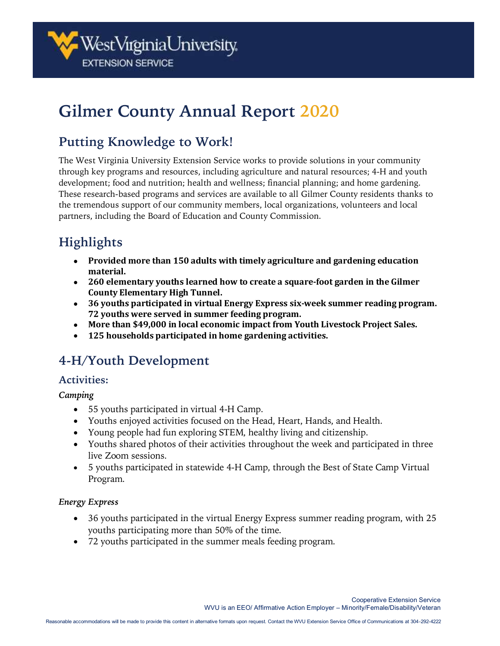

# **Gilmer County Annual Report 2020**

### **Putting Knowledge to Work!**

The West Virginia University Extension Service works to provide solutions in your community through key programs and resources, including agriculture and natural resources; 4-H and youth development; food and nutrition; health and wellness; financial planning; and home gardening. These research-based programs and services are available to all Gilmer County residents thanks to the tremendous support of our community members, local organizations, volunteers and local partners, including the Board of Education and County Commission.

## **Highlights**

- **Provided more than 150 adults with timely agriculture and gardening education material.**
- **260 elementary youths learned how to create a square-foot garden in the Gilmer County Elementary High Tunnel.**
- **36 youths participated in virtual Energy Express six-week summer reading program. 72 youths were served in summer feeding program.**
- **More than \$49,000 in local economic impact from Youth Livestock Project Sales.**
- **125 households participated in home gardening activities.**

### **4-H/Youth Development**

### **Activities:**

*Camping* 

- 55 youths participated in virtual 4-H Camp.
- Youths enjoyed activities focused on the Head, Heart, Hands, and Health.
- Young people had fun exploring STEM, healthy living and citizenship.
- Youths shared photos of their activities throughout the week and participated in three live Zoom sessions.
- 5 youths participated in statewide 4-H Camp, through the Best of State Camp Virtual Program.

### *Energy Express*

- 36 youths participated in the virtual Energy Express summer reading program, with 25 youths participating more than 50% of the time.
- 72 youths participated in the summer meals feeding program.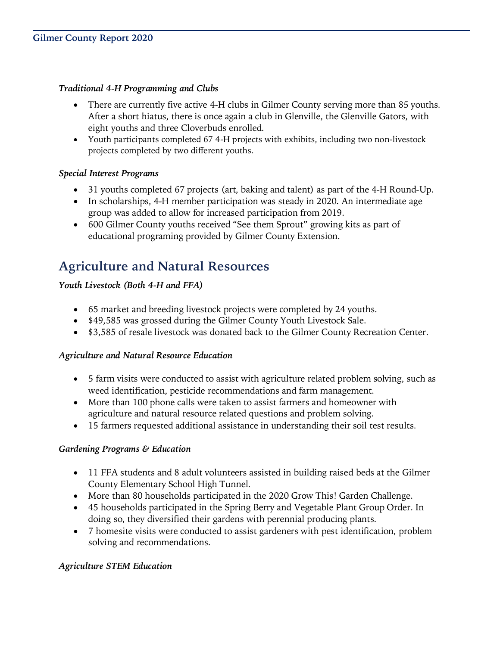### *Traditional 4-H Programming and Clubs*

- There are currently five active 4-H clubs in Gilmer County serving more than 85 youths. After a short hiatus, there is once again a club in Glenville, the Glenville Gators, with eight youths and three Cloverbuds enrolled.
- Youth participants completed 67 4-H projects with exhibits, including two non-livestock projects completed by two different youths.

### *Special Interest Programs*

- 31 youths completed 67 projects (art, baking and talent) as part of the 4-H Round-Up.
- In scholarships, 4-H member participation was steady in 2020. An intermediate age group was added to allow for increased participation from 2019.
- 600 Gilmer County youths received "See them Sprout" growing kits as part of educational programing provided by Gilmer County Extension.

### **Agriculture and Natural Resources**

### *Youth Livestock (Both 4-H and FFA)*

- 65 market and breeding livestock projects were completed by 24 youths.
- \$49,585 was grossed during the Gilmer County Youth Livestock Sale.
- \$3,585 of resale livestock was donated back to the Gilmer County Recreation Center.

#### *Agriculture and Natural Resource Education*

- 5 farm visits were conducted to assist with agriculture related problem solving, such as weed identification, pesticide recommendations and farm management.
- More than 100 phone calls were taken to assist farmers and homeowner with agriculture and natural resource related questions and problem solving.
- 15 farmers requested additional assistance in understanding their soil test results.

#### *Gardening Programs & Education*

- 11 FFA students and 8 adult volunteers assisted in building raised beds at the Gilmer County Elementary School High Tunnel.
- More than 80 households participated in the 2020 Grow This! Garden Challenge.
- 45 households participated in the Spring Berry and Vegetable Plant Group Order. In doing so, they diversified their gardens with perennial producing plants.
- 7 homesite visits were conducted to assist gardeners with pest identification, problem solving and recommendations.

#### *Agriculture STEM Education*